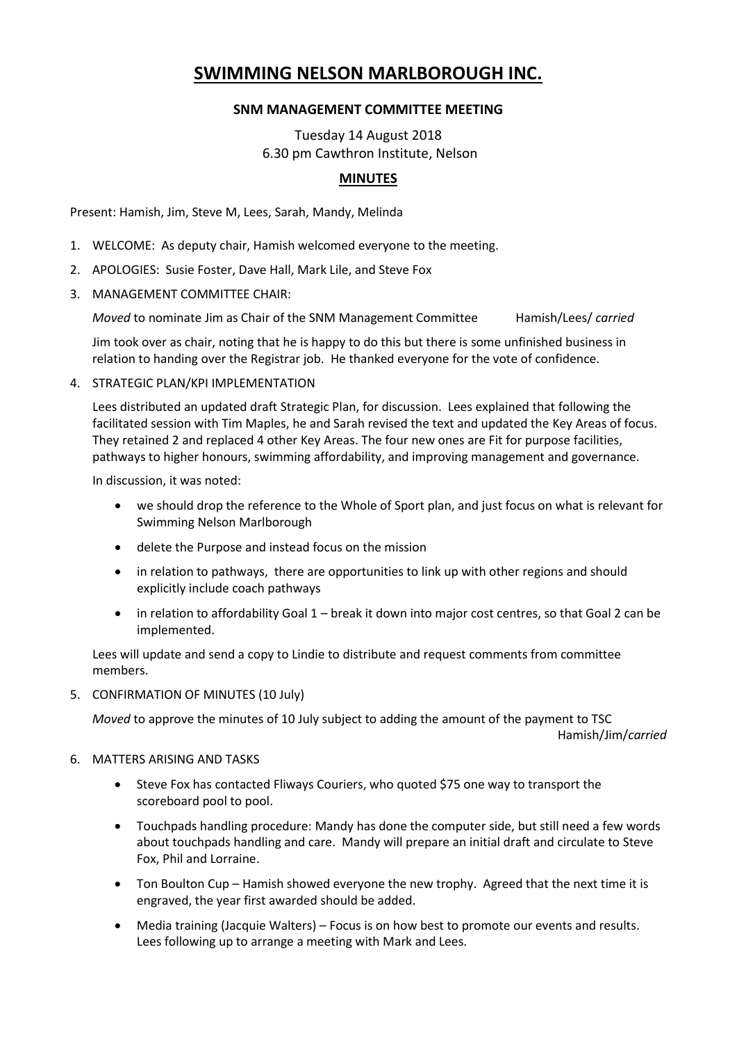# **SWIMMING NELSON MARLBOROUGH INC.**

## **SNM MANAGEMENT COMMITTEE MEETING**

Tuesday 14 August 2018 6.30 pm Cawthron Institute, Nelson

## **MINUTES**

Present: Hamish, Jim, Steve M, Lees, Sarah, Mandy, Melinda

- 1. WELCOME: As deputy chair, Hamish welcomed everyone to the meeting.
- 2. APOLOGIES: Susie Foster, Dave Hall, Mark Lile, and Steve Fox
- 3. MANAGEMENT COMMITTEE CHAIR:

*Moved* to nominate Jim as Chair of the SNM Management Committee Hamish/Lees/ *carried*

Jim took over as chair, noting that he is happy to do this but there is some unfinished business in relation to handing over the Registrar job. He thanked everyone for the vote of confidence.

4. STRATEGIC PLAN/KPI IMPLEMENTATION

Lees distributed an updated draft Strategic Plan, for discussion. Lees explained that following the facilitated session with Tim Maples, he and Sarah revised the text and updated the Key Areas of focus. They retained 2 and replaced 4 other Key Areas. The four new ones are Fit for purpose facilities, pathways to higher honours, swimming affordability, and improving management and governance.

In discussion, it was noted:

- we should drop the reference to the Whole of Sport plan, and just focus on what is relevant for Swimming Nelson Marlborough
- delete the Purpose and instead focus on the mission
- in relation to pathways, there are opportunities to link up with other regions and should explicitly include coach pathways
- in relation to affordability Goal 1 break it down into major cost centres, so that Goal 2 can be implemented.

Lees will update and send a copy to Lindie to distribute and request comments from committee members.

5. CONFIRMATION OF MINUTES (10 July)

*Moved* to approve the minutes of 10 July subject to adding the amount of the payment to TSC

Hamish/Jim/*carried*

- 6. MATTERS ARISING AND TASKS
	- Steve Fox has contacted Fliways Couriers, who quoted \$75 one way to transport the scoreboard pool to pool.
	- Touchpads handling procedure: Mandy has done the computer side, but still need a few words about touchpads handling and care. Mandy will prepare an initial draft and circulate to Steve Fox, Phil and Lorraine.
	- Ton Boulton Cup Hamish showed everyone the new trophy. Agreed that the next time it is engraved, the year first awarded should be added.
	- Media training (Jacquie Walters) Focus is on how best to promote our events and results. Lees following up to arrange a meeting with Mark and Lees.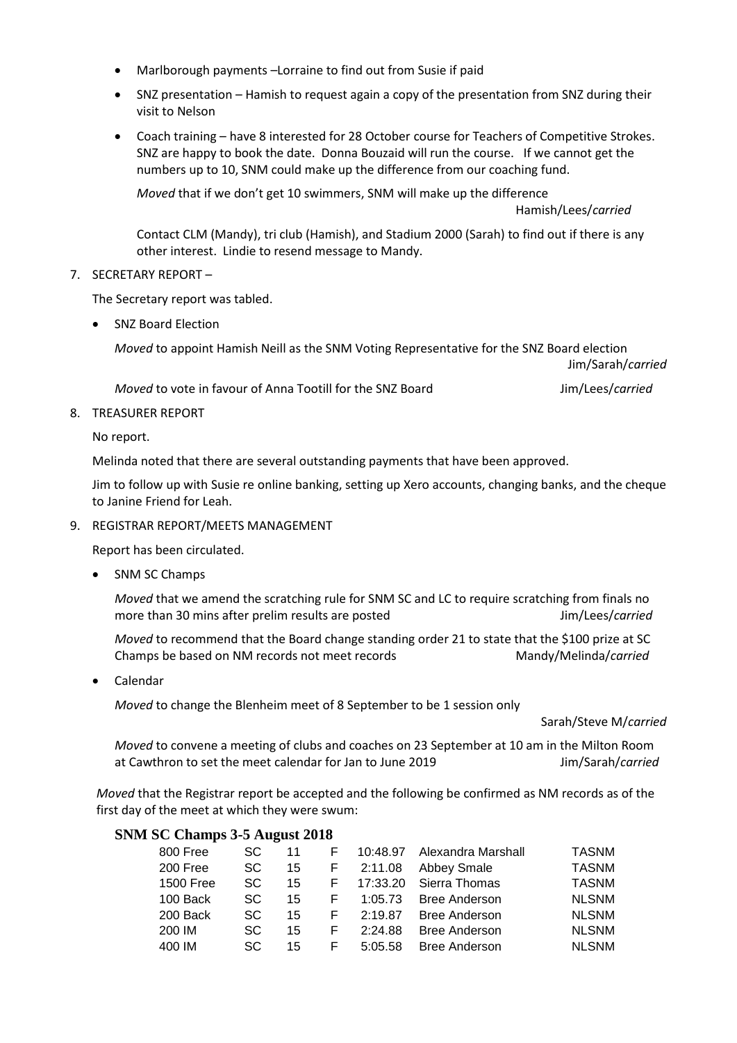- Marlborough payments –Lorraine to find out from Susie if paid
- SNZ presentation Hamish to request again a copy of the presentation from SNZ during their visit to Nelson
- Coach training have 8 interested for 28 October course for Teachers of Competitive Strokes. SNZ are happy to book the date. Donna Bouzaid will run the course. If we cannot get the numbers up to 10, SNM could make up the difference from our coaching fund.

*Moved* that if we don't get 10 swimmers, SNM will make up the difference

Hamish/Lees/*carried*

Contact CLM (Mandy), tri club (Hamish), and Stadium 2000 (Sarah) to find out if there is any other interest. Lindie to resend message to Mandy.

## 7. SECRETARY REPORT –

The Secretary report was tabled.

SNZ Board Election

*Moved* to appoint Hamish Neill as the SNM Voting Representative for the SNZ Board election

Jim/Sarah/*carried*

*Moved* to vote in favour of Anna Tootill for the SNZ Board **Jim/Lees/***carried* 

#### 8. TREASURER REPORT

No report.

Melinda noted that there are several outstanding payments that have been approved.

Jim to follow up with Susie re online banking, setting up Xero accounts, changing banks, and the cheque to Janine Friend for Leah.

## 9. REGISTRAR REPORT/MEETS MANAGEMENT

Report has been circulated.

• SNM SC Champs

*Moved* that we amend the scratching rule for SNM SC and LC to require scratching from finals no more than 30 mins after prelim results are posted **Jim/Lees/***carried* 

*Moved* to recommend that the Board change standing order 21 to state that the \$100 prize at SC Champs be based on NM records not meet records Mandy/Melinda/*carried* 

Calendar

*Moved* to change the Blenheim meet of 8 September to be 1 session only

Sarah/Steve M/*carried*

*Moved* to convene a meeting of clubs and coaches on 23 September at 10 am in the Milton Room at Cawthron to set the meet calendar for Jan to June 2019 Jim/Sarah/*carried*

*Moved* that the Registrar report be accepted and the following be confirmed as NM records as of the first day of the meet at which they were swum:

## **SNM SC Champs 3-5 August 2018**

| 800 Free  | SC. | 11 | F | 10:48.97 | Alexandra Marshall   | TASNM        |
|-----------|-----|----|---|----------|----------------------|--------------|
| 200 Free  | SC. | 15 | F | 2:11.08  | Abbey Smale          | <b>TASNM</b> |
| 1500 Free | SC. | 15 | F | 17:33.20 | Sierra Thomas        | TASNM        |
| 100 Back  | SC. | 15 | F | 1:05.73  | <b>Bree Anderson</b> | <b>NLSNM</b> |
| 200 Back  | SC. | 15 | F | 2:19.87  | <b>Bree Anderson</b> | <b>NLSNM</b> |
| 200 IM    | SC. | 15 | F | 2:24.88  | <b>Bree Anderson</b> | <b>NLSNM</b> |
| 400 IM    | SC. | 15 | F | 5:05.58  | <b>Bree Anderson</b> | <b>NLSNM</b> |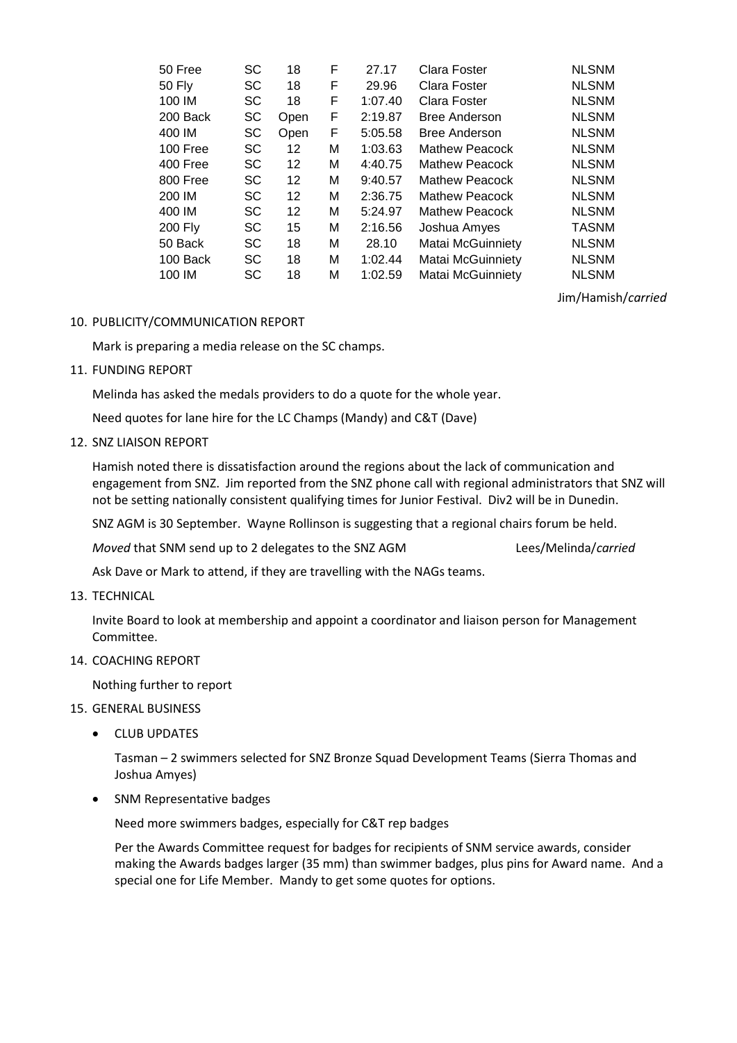| 50 Free        | SC | 18   | F | 27.17   | Clara Foster          | <b>NLSNM</b> |
|----------------|----|------|---|---------|-----------------------|--------------|
| <b>50 Fly</b>  | SC | 18   | F | 29.96   | Clara Foster          | <b>NLSNM</b> |
| 100 IM         | SC | 18   | F | 1:07.40 | Clara Foster          | <b>NLSNM</b> |
| 200 Back       | SC | Open | F | 2:19.87 | <b>Bree Anderson</b>  | <b>NLSNM</b> |
| 400 IM         | SC | Open | F | 5:05.58 | <b>Bree Anderson</b>  | <b>NLSNM</b> |
| 100 Free       | SC | 12   | М | 1:03.63 | <b>Mathew Peacock</b> | <b>NLSNM</b> |
| 400 Free       | SC | 12   | М | 4:40.75 | Mathew Peacock        | <b>NLSNM</b> |
| 800 Free       | SC | 12   | М | 9:40.57 | Mathew Peacock        | <b>NLSNM</b> |
| 200 IM         | SC | 12   | М | 2:36.75 | Mathew Peacock        | <b>NLSNM</b> |
| 400 IM         | SC | 12   | М | 5:24.97 | Mathew Peacock        | <b>NLSNM</b> |
| <b>200 Fly</b> | SC | 15   | М | 2:16.56 | Joshua Amyes          | <b>TASNM</b> |
| 50 Back        | SC | 18   | М | 28.10   | Matai McGuinniety     | <b>NLSNM</b> |
| 100 Back       | SC | 18   | М | 1:02.44 | Matai McGuinniety     | <b>NLSNM</b> |
| 100 IM         | SC | 18   | М | 1:02.59 | Matai McGuinniety     | <b>NLSNM</b> |
|                |    |      |   |         |                       |              |

Jim/Hamish/*carried*

#### 10. PUBLICITY/COMMUNICATION REPORT

Mark is preparing a media release on the SC champs.

11. FUNDING REPORT

Melinda has asked the medals providers to do a quote for the whole year.

Need quotes for lane hire for the LC Champs (Mandy) and C&T (Dave)

12. SNZ LIAISON REPORT

Hamish noted there is dissatisfaction around the regions about the lack of communication and engagement from SNZ. Jim reported from the SNZ phone call with regional administrators that SNZ will not be setting nationally consistent qualifying times for Junior Festival. Div2 will be in Dunedin.

SNZ AGM is 30 September. Wayne Rollinson is suggesting that a regional chairs forum be held.

*Moved* that SNM send up to 2 delegates to the SNZ AGM Lees/Melinda/*carried* 

Ask Dave or Mark to attend, if they are travelling with the NAGs teams.

#### 13. TECHNICAL

Invite Board to look at membership and appoint a coordinator and liaison person for Management Committee.

## 14. COACHING REPORT

Nothing further to report

#### 15. GENERAL BUSINESS

CLUB UPDATES

Tasman – 2 swimmers selected for SNZ Bronze Squad Development Teams (Sierra Thomas and Joshua Amyes)

• SNM Representative badges

Need more swimmers badges, especially for C&T rep badges

Per the Awards Committee request for badges for recipients of SNM service awards, consider making the Awards badges larger (35 mm) than swimmer badges, plus pins for Award name. And a special one for Life Member. Mandy to get some quotes for options.